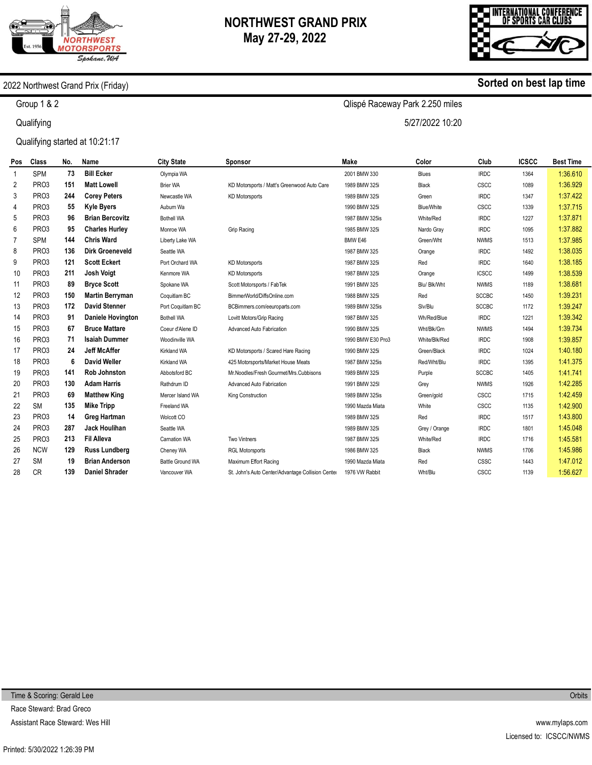

# **NORTHWEST GRAND PRIX May 27-29, 2022**

Qlispé Raceway Park 2.250 miles

5/27/2022 10:20



**Sorted on best lap time**

### 2022 Northwest Grand Prix (Friday)

Group 1 & 2

**Qualifying** 

Qualifying started at 10:21:17

| Pos | Class             | No. | Name                     | <b>City State</b>       | Sponsor                                           | <b>Make</b>       | Color             | Club         | <b>ICSCC</b> | <b>Best Time</b> |
|-----|-------------------|-----|--------------------------|-------------------------|---------------------------------------------------|-------------------|-------------------|--------------|--------------|------------------|
| 1   | <b>SPM</b>        | 73  | <b>Bill Ecker</b>        | Olympia WA              |                                                   | 2001 BMW 330      | <b>Blues</b>      | <b>IRDC</b>  | 1364         | 1:36.610         |
| 2   | PRO <sub>3</sub>  | 151 | <b>Matt Lowell</b>       | <b>Brier WA</b>         | KD Motorsports / Matt's Greenwood Auto Care       | 1989 BMW 325i     | Black             | CSCC         | 1089         | 1:36.929         |
| 3   | PRO <sub>3</sub>  | 244 | <b>Corey Peters</b>      | Newcastle WA            | <b>KD Motorsports</b>                             | 1989 BMW 325i     | Green             | <b>IRDC</b>  | 1347         | 1:37.422         |
| 4   | PRO3              | 55  | <b>Kyle Byers</b>        | Auburn Wa               |                                                   | 1990 BMW 325i     | <b>Blue/White</b> | CSCC         | 1339         | 1:37.715         |
| 5   | PRO <sub>3</sub>  | 96  | <b>Brian Bercovitz</b>   | <b>Bothell WA</b>       |                                                   | 1987 BMW 325is    | White/Red         | <b>IRDC</b>  | 1227         | 1:37.871         |
| 6   | PR <sub>O</sub> 3 | 95  | <b>Charles Hurley</b>    | Monroe WA               | Grip Racing                                       | 1985 BMW 325i     | Nardo Gray        | <b>IRDC</b>  | 1095         | 1:37.882         |
| 7   | <b>SPM</b>        | 144 | <b>Chris Ward</b>        | Liberty Lake WA         |                                                   | BMW E46           | Green/Wht         | <b>NWMS</b>  | 1513         | 1:37.985         |
| 8   | PRO3              | 136 | <b>Dirk Groeneveld</b>   | Seattle WA              |                                                   | 1987 BMW 325      | Orange            | <b>IRDC</b>  | 1492         | 1:38.035         |
| 9   | PR <sub>O</sub> 3 | 121 | <b>Scott Eckert</b>      | Port Orchard WA         | <b>KD Motorsports</b>                             | 1987 BMW 325i     | Red               | <b>IRDC</b>  | 1640         | 1:38.185         |
| 10  | PRO3              | 211 | <b>Josh Voigt</b>        | Kenmore WA              | <b>KD Motorsports</b>                             | 1987 BMW 325i     | Orange            | <b>ICSCC</b> | 1499         | 1:38.539         |
| 11  | PR <sub>O</sub> 3 | 89  | <b>Bryce Scott</b>       | Spokane WA              | Scott Motorsports / FabTek                        | 1991 BMW 325      | Blu/ Blk/Wht      | <b>NWMS</b>  | 1189         | 1:38.681         |
| 12  | PRO3              | 150 | <b>Martin Berryman</b>   | Coquitlam BC            | BimmerWorld/DiffsOnline.com                       | 1988 BMW 325i     | Red               | <b>SCCBC</b> | 1450         | 1:39.231         |
| 13  | PRO <sub>3</sub>  | 172 | <b>David Stenner</b>     | Port Coquitlam BC       | BCBimmers.com/eeuroparts.com                      | 1989 BMW 325is    | Slv/Blu           | <b>SCCBC</b> | 1172         | 1:39.247         |
| 14  | PRO3              | 91  | <b>Daniele Hovington</b> | <b>Bothell WA</b>       | Lovitt Motors/Grip Racing                         | 1987 BMW 325      | Wh/Red/Blue       | <b>IRDC</b>  | 1221         | 1:39.342         |
| 15  | PR <sub>O</sub> 3 | 67  | <b>Bruce Mattare</b>     | Coeur d'Alene ID        | Advanced Auto Fabrication                         | 1990 BMW 325i     | Wht/Blk/Grn       | <b>NWMS</b>  | 1494         | 1:39.734         |
| 16  | PR <sub>O</sub> 3 | 71  | <b>Isaiah Dummer</b>     | Woodinville WA          |                                                   | 1990 BMW E30 Pro3 | White/Blk/Red     | <b>IRDC</b>  | 1908         | 1:39.857         |
| 17  | PR <sub>O</sub> 3 | 24  | <b>Jeff McAffer</b>      | Kirkland WA             | KD Motorsports / Scared Hare Racing               | 1990 BMW 325i     | Green/Black       | <b>IRDC</b>  | 1024         | 1:40.180         |
| 18  | PR <sub>O</sub> 3 | 6   | <b>David Weller</b>      | Kirkland WA             | 425 Motorsports/Market House Meats                | 1987 BMW 325is    | Red/Wht/Blu       | <b>IRDC</b>  | 1395         | 1:41.375         |
| 19  | PRO <sub>3</sub>  | 141 | <b>Rob Johnston</b>      | Abbotsford BC           | Mr.Noodles/Fresh Gourmet/Mrs.Cubbisons            | 1989 BMW 325i     | Purple            | <b>SCCBC</b> | 1405         | 1:41.741         |
| 20  | PRO3              | 130 | <b>Adam Harris</b>       | Rathdrum ID             | Advanced Auto Fabrication                         | 1991 BMW 325I     | Grey              | <b>NWMS</b>  | 1926         | 1:42.285         |
| 21  | PRO3              | 69  | <b>Matthew King</b>      | Mercer Island WA        | King Construction                                 | 1989 BMW 325is    | Green/gold        | CSCC         | 1715         | 1:42.459         |
| 22  | <b>SM</b>         | 135 | <b>Mike Tripp</b>        | Freeland WA             |                                                   | 1990 Mazda Miata  | White             | CSCC         | 1135         | 1:42.900         |
| 23  | PRO <sub>3</sub>  | 14  | Greg Hartman             | Wolcott CO              |                                                   | 1989 BMW 325i     | Red               | <b>IRDC</b>  | 1517         | 1:43.800         |
| 24  | PRO3              | 287 | <b>Jack Houlihan</b>     | Seattle WA              |                                                   | 1989 BMW 325i     | Grey / Orange     | <b>IRDC</b>  | 1801         | 1:45.048         |
| 25  | PR <sub>O</sub> 3 | 213 | <b>Fil Alleva</b>        | Carnation WA            | <b>Two Vintners</b>                               | 1987 BMW 325i     | White/Red         | <b>IRDC</b>  | 1716         | 1:45.581         |
| 26  | <b>NCW</b>        | 129 | <b>Russ Lundberg</b>     | Cheney WA               | <b>RGL Motorsports</b>                            | 1986 BMW 325      | Black             | <b>NWMS</b>  | 1706         | 1:45.986         |
| 27  | <b>SM</b>         | 19  | <b>Brian Anderson</b>    | <b>Battle Ground WA</b> | Maximum Effort Racing                             | 1990 Mazda Miata  | Red               | <b>CSSC</b>  | 1443         | 1:47.012         |
| 28  | <b>CR</b>         | 139 | <b>Daniel Shrader</b>    | Vancouver WA            | St. John's Auto Center/Advantage Collision Center | 1976 VW Rabbit    | Wht/Blu           | <b>CSCC</b>  | 1139         | 1:56.627         |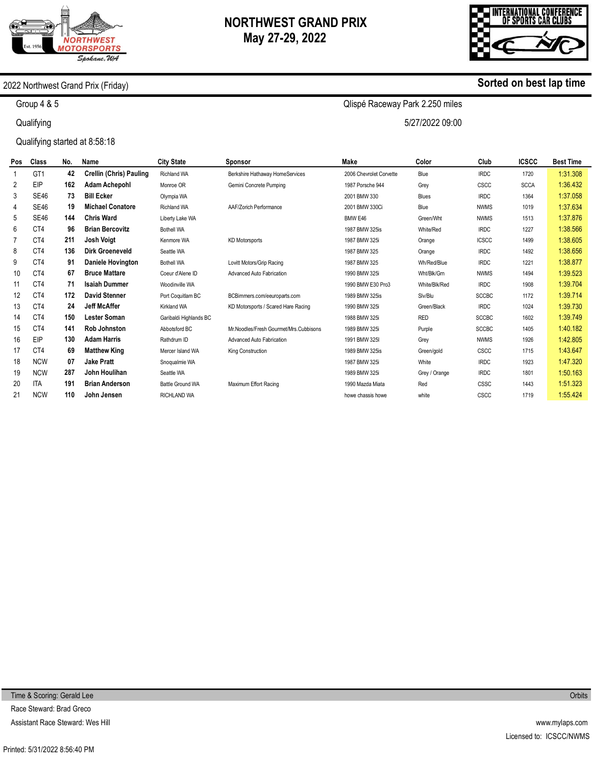

# **NORTHWEST GRAND PRIX May 27-29, 2022**

Qlispé Raceway Park 2.250 miles

5/27/2022 09:00



**Sorted on best lap time**

### 2022 Northwest Grand Prix (Friday)

Group 4 & 5

**Qualifying** 

Qualifying started at 8:58:18

| <b>Pos</b> | Class           | No. | Name                           | <b>City State</b>       | <b>Sponsor</b>                         | Make                    | Color         | Club         | <b>ICSCC</b> | <b>Best Time</b> |
|------------|-----------------|-----|--------------------------------|-------------------------|----------------------------------------|-------------------------|---------------|--------------|--------------|------------------|
|            | GT <sub>1</sub> | 42  | <b>Crellin (Chris) Pauling</b> | <b>Richland WA</b>      | Berkshire Hathaway HomeServices        | 2006 Chevrolet Corvette | Blue          | <b>IRDC</b>  | 1720         | 1:31.308         |
| 2          | EIP             | 162 | <b>Adam Achepohl</b>           | Monroe OR               | Gemini Concrete Pumping                | 1987 Porsche 944        | Grey          | CSCC         | <b>SCCA</b>  | 1:36.432         |
| 3          | <b>SE46</b>     | 73  | <b>Bill Ecker</b>              | Olympia WA              |                                        | 2001 BMW 330            | <b>Blues</b>  | <b>IRDC</b>  | 1364         | 1:37.058         |
| 4          | <b>SE46</b>     | 19  | <b>Michael Conatore</b>        | <b>Richland WA</b>      | AAF/Zorich Performance                 | 2001 BMW 330Ci          | Blue          | <b>NWMS</b>  | 1019         | 1:37.634         |
| 5          | <b>SE46</b>     | 144 | <b>Chris Ward</b>              | Liberty Lake WA         |                                        | BMW E46                 | Green/Wht     | <b>NWMS</b>  | 1513         | 1:37.876         |
| 6          | CT4             | 96  | <b>Brian Bercovitz</b>         | <b>Bothell WA</b>       |                                        | 1987 BMW 325is          | White/Red     | <b>IRDC</b>  | 1227         | 1:38.566         |
|            | CT4             | 211 | Josh Voigt                     | Kenmore WA              | <b>KD Motorsports</b>                  | 1987 BMW 325i           | Orange        | <b>ICSCC</b> | 1499         | 1:38.605         |
| 8          | CT4             | 136 | <b>Dirk Groeneveld</b>         | Seattle WA              |                                        | 1987 BMW 325            | Orange        | <b>IRDC</b>  | 1492         | 1:38.656         |
| 9          | CT4             | 91  | Daniele Hovington              | <b>Bothell WA</b>       | Lovitt Motors/Grip Racing              | 1987 BMW 325            | Wh/Red/Blue   | <b>IRDC</b>  | 1221         | 1:38.877         |
| 10         | CT4             | 67  | <b>Bruce Mattare</b>           | Coeur d'Alene ID        | Advanced Auto Fabrication              | 1990 BMW 325i           | Wht/Blk/Grn   | <b>NWMS</b>  | 1494         | 1:39.523         |
| 11         | C <sub>T4</sub> | 71  | <b>Isaiah Dummer</b>           | Woodinville WA          |                                        | 1990 BMW E30 Pro3       | White/Blk/Red | <b>IRDC</b>  | 1908         | 1:39.704         |
| 12         | CT4             | 172 | <b>David Stenner</b>           | Port Coquitlam BC       | BCBimmers.com/eeuroparts.com           | 1989 BMW 325is          | Slv/Blu       | <b>SCCBC</b> | 1172         | 1:39.714         |
| 13         | CT4             | 24  | <b>Jeff McAffer</b>            | <b>Kirkland WA</b>      | KD Motorsports / Scared Hare Racing    | 1990 BMW 325i           | Green/Black   | <b>IRDC</b>  | 1024         | 1:39.730         |
| 14         | CT4             | 150 | <b>Lester Soman</b>            | Garibaldi Highlands BC  |                                        | 1988 BMW 325i           | <b>RED</b>    | <b>SCCBC</b> | 1602         | 1:39.749         |
| 15         | CT4             | 141 | <b>Rob Johnston</b>            | Abbotsford BC           | Mr.Noodles/Fresh Gourmet/Mrs.Cubbisons | 1989 BMW 325i           | Purple        | <b>SCCBC</b> | 1405         | 1:40.182         |
| 16         | EIP             | 130 | <b>Adam Harris</b>             | Rathdrum ID             | Advanced Auto Fabrication              | 1991 BMW 325I           | Grey          | <b>NWMS</b>  | 1926         | 1:42.805         |
| 17         | CT4             | 69  | <b>Matthew King</b>            | Mercer Island WA        | King Construction                      | 1989 BMW 325is          | Green/gold    | CSCC         | 1715         | 1:43.647         |
| 18         | <b>NCW</b>      | 07  | <b>Jake Pratt</b>              | Snoqualmie WA           |                                        | 1987 BMW 325i           | White         | <b>IRDC</b>  | 1923         | 1:47.320         |
| 19         | <b>NCW</b>      | 287 | John Houlihan                  | Seattle WA              |                                        | 1989 BMW 325i           | Grey / Orange | <b>IRDC</b>  | 1801         | 1:50.163         |
| 20         | <b>ITA</b>      | 191 | <b>Brian Anderson</b>          | <b>Battle Ground WA</b> | Maximum Effort Racing                  | 1990 Mazda Miata        | Red           | CSSC         | 1443         | 1:51.323         |
| 21         | <b>NCW</b>      | 110 | John Jensen                    | <b>RICHLAND WA</b>      |                                        | howe chassis howe       | white         | CSCC         | 1719         | 1:55.424         |